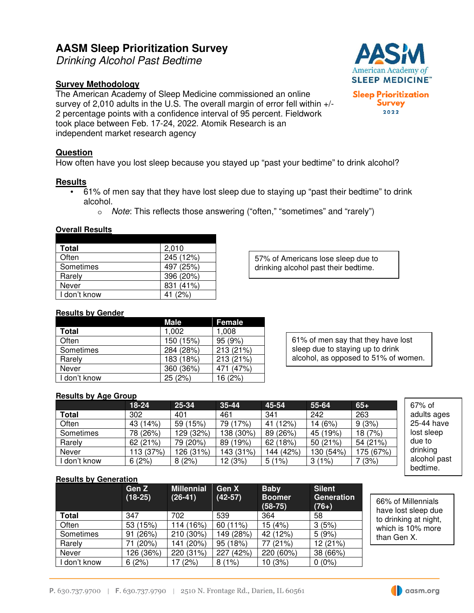# **AASM Sleep Prioritization Survey**

Drinking Alcohol Past Bedtime

# **Survey Methodology**

The American Academy of Sleep Medicine commissioned an online survey of 2,010 adults in the U.S. The overall margin of error fell within +/- 2 percentage points with a confidence interval of 95 percent. Fieldwork took place between Feb. 17-24, 2022. Atomik Research is an independent market research agency

## **Question**

How often have you lost sleep because you stayed up "past your bedtime" to drink alcohol?

#### **Results**

- 61% of men say that they have lost sleep due to staying up "past their bedtime" to drink alcohol.
	- o Note: This reflects those answering ("often," "sometimes" and "rarely")

#### **Overall Results**

| <b>Total</b> | 2,010     |
|--------------|-----------|
| Often        | 245 (12%) |
| Sometimes    | 497 (25%) |
| Rarely       | 396 (20%) |
| Never        | 831 (41%) |
| I don't know | (2%)      |

57% of Americans lose sleep due to drinking alcohol past their bedtime.

#### **Results by Gender**

|              | Male      | <b>Female</b> |
|--------------|-----------|---------------|
| <b>Total</b> | 1,002     | 1,008         |
| Often        | 150 (15%) | 95(9%)        |
| Sometimes    | 284 (28%) | 213 (21%)     |
| Rarely       | 183 (18%) | 213 (21%)     |
| Never        | 360 (36%) | (47%)<br>471  |
| I don't know | 25(2%)    | 16 (2%)       |

61% of men say that they have lost sleep due to staying up to drink alcohol, as opposed to 51% of women.

#### **Results by Age Group**

|            | 18-24     | 25-34     | $35 - 44$ | 45-54     | 55-64     | $65+$     | $67\%$ of    |
|------------|-----------|-----------|-----------|-----------|-----------|-----------|--------------|
| Total      | 302       | 401       | 461       | 341       | 242       | 263       | adults ages  |
| Often      | 43 (14%)  | 59 (15%)  | 79 (17%)  | 41 (12%)  | 14 (6%)   | 9(3%)     | 25-44 have   |
| Sometimes  | 78 (26%)  | 129 (32%) | 138 (30%) | 89 (26%)  | 45 (19%)  | 18 (7%)   | lost sleep   |
| Rarely     | 62 (21%)  | 79 (20%)  | 89 (19%)  | 62 (18%)  | 50(21%)   | 54 (21%)  | due to       |
| Never      | 113 (37%) | 126 (31%) | 143 (31%) | 144 (42%) | 130 (54%) | 175 (67%) | drinking     |
| don't know | 6(2%)     | 8(2%)     | 12(3%)    | 5(1%)     | 3(1%)     | 7(3%)     | alcohol past |
|            |           |           |           |           |           |           | bedtime.     |

**Results by Generation** 

|              | Gen Z<br>$(18-25)$ | <b>Millennial</b><br>$(26-41)$ | Gen X<br>$(42-57)$ | <b>Baby</b><br><b>Boomer</b><br>$(58-75)$ | <b>Silent</b><br><b>Generation</b><br>$(76+)$ |
|--------------|--------------------|--------------------------------|--------------------|-------------------------------------------|-----------------------------------------------|
| <b>Total</b> | 347                | 702                            | 539                | 364                                       | 58                                            |
| Often        | 53 (15%)           | 114 (16%)                      | 60 (11%)           | 15 (4%)                                   | 3(5%)                                         |
| Sometimes    | (26%)<br>91        | 210 (30%)                      | 149 (28%)          | 42 (12%)                                  | 5(9%)                                         |
| Rarely       | (20%)              | (20%)<br>141 (                 | 95 (18%)           | (21%)                                     | 12 (21%)                                      |
| Never        | 126 (36%)          | 220 (31%)                      | (42%)<br>227       | 220 (60%)                                 | 38 (66%)                                      |
| don't know   | 6(2%)              | (2%)                           | (1%)<br>8          | 10 (3%)                                   | $0(0\%)$                                      |

66% of Millennials have lost sleep due to drinking at night, which is 10% more than Gen X.



**Sleep Prioritization Survey** 2022